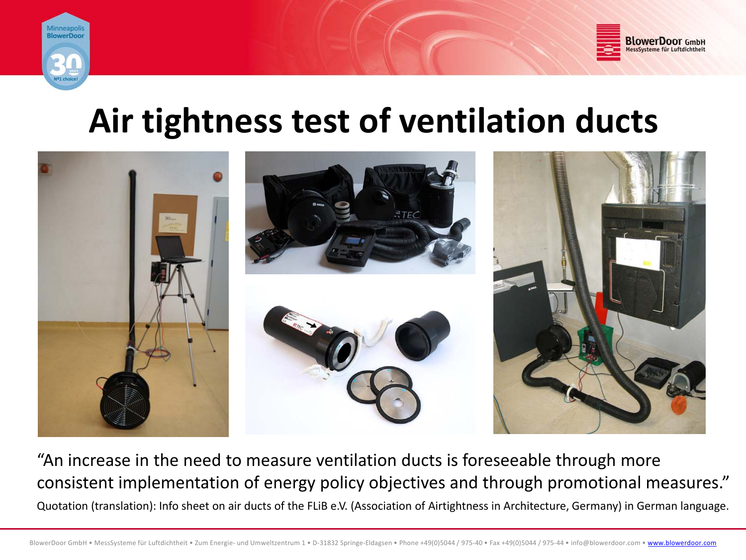



# **Air tightness test of ventilation ducts**



"An increase in the need to measure ventilation ducts is foreseeable through more CONSIStent implementation of energy policy objectives and through promotional measures."<br>Quotation (translation): Info sheet on air ducts of the FLiB e.V. (Association of Airtightness in Architecture, Germany) in German la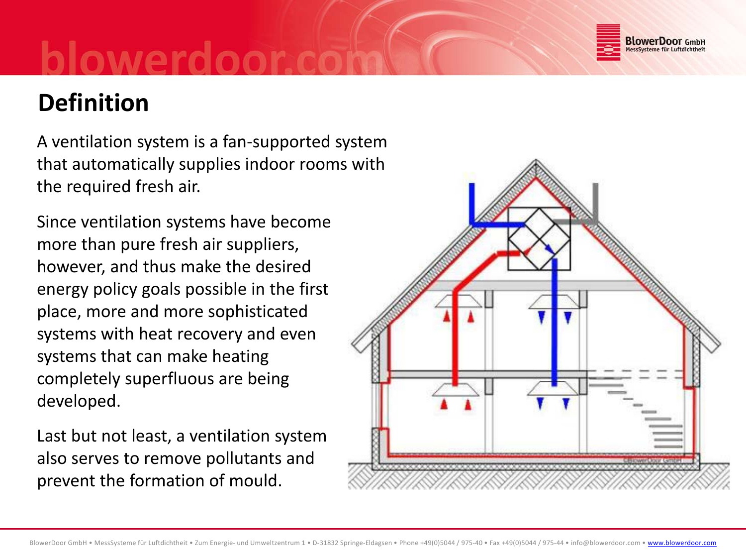

## **Definition**

A ventilation system is <sup>a</sup> fan‐supported system that automatically supplies indoor rooms with the required fresh air.

Since ventilation systems have become more than pure fresh air suppliers, however, and thus make the desired energy policy goals possible in the first place, more and more sophisticated systems with heat recovery and even systems that can make heating completely superfluous are being developed.

Last but not least, <sup>a</sup> ventilation system also serves to remove pollutants and prevent the formation of mould.

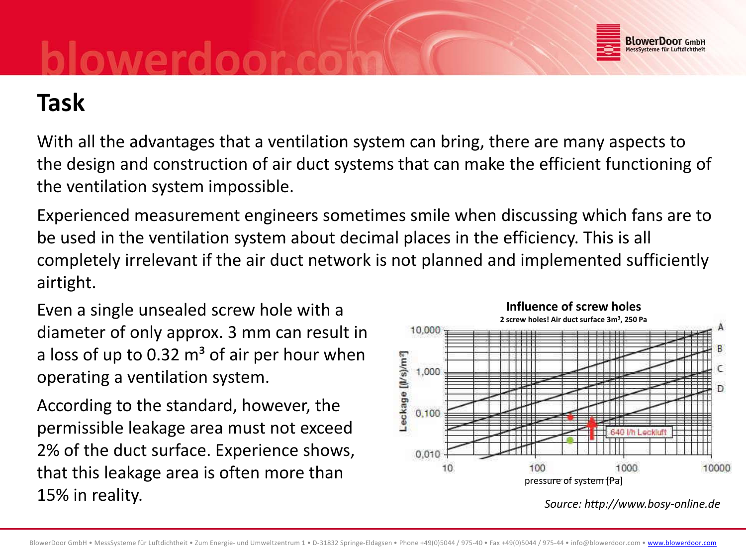

## **Task**

With all the advantages that <sup>a</sup> ventilation system can bring, there are many aspects to the design and construction of air duct systems that can make the efficient functioning of the ventilation system impossible.

Experienced measurement engineers sometimes smile when discussing which fans are to be used in the ventilation system about decimal places in the efficiency. This is all completely irrelevant if the air duct network is not planned and implemented sufficiently airtight.

Even a single unsealed screw hole with a **Influence** of screw holes diameter of only approx. 3 mm can result in a loss of up to 0.32 m<sup>3</sup> of air per hour when operating <sup>a</sup> ventilation system.

According to the standard, however, the permissible leakage area must not exceed 2% of the duct surface. Experience shows, that this leakage area is often more than  $\frac{10}{p}$  and  $\frac{100}{p}$  pressure of system [Pa] 15% in reality.



*Source: http://www.bosy‐online.de*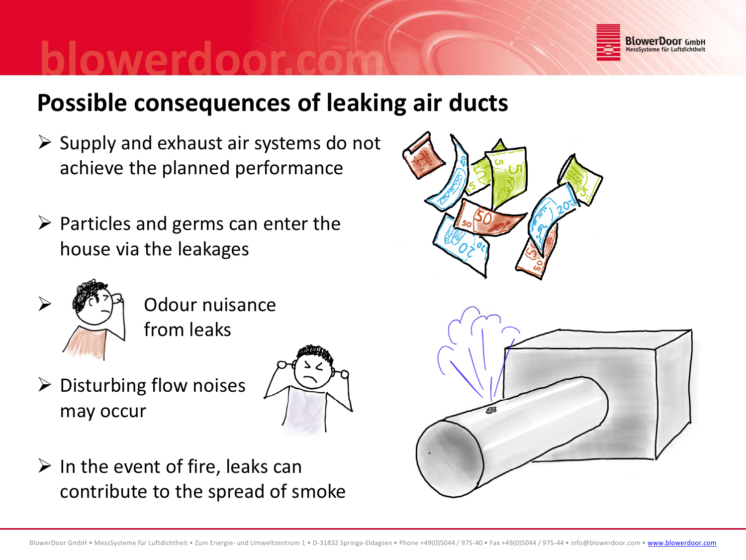

### **Possible consequences of leaking air ducts**

- $\triangleright$  Supply and exhaust air systems do not achieve the planned performance
- $\triangleright$  Particles and germs can enter the house via the leakages



 Odour nuisance from leaks

 $\triangleright$  Disturbing flow noises may occur



 $\triangleright$  In the event of fire, leaks can contribute to the spread of smoke



![](_page_3_Picture_11.jpeg)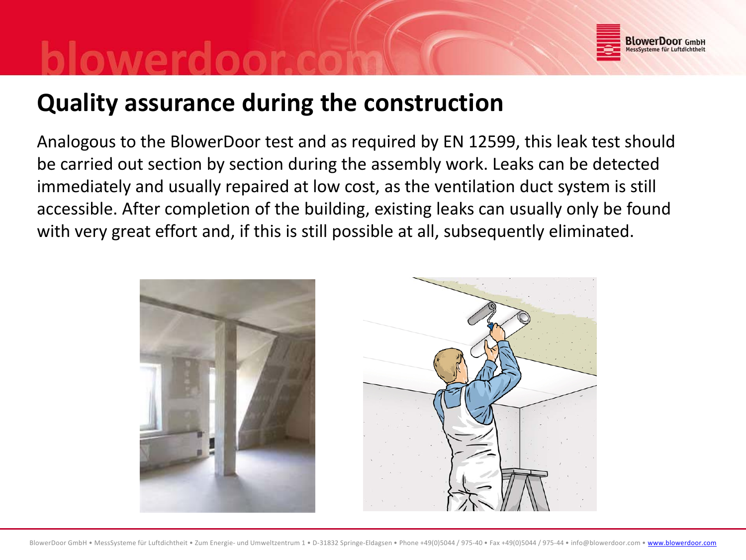![](_page_4_Picture_0.jpeg)

### **Quality assurance during the construction**

Analogous to the BlowerDoor test and as required by EN 12599, this leak test should be carried out section by section during the assembly work. Leaks can be detected immediately and usually repaired at low cost, as the ventilation duct system is still accessible. After completion of the building, existing leaks can usually only be found with very great effort and, if this is still possible at all, subsequently eliminated.

![](_page_4_Picture_3.jpeg)

![](_page_4_Picture_4.jpeg)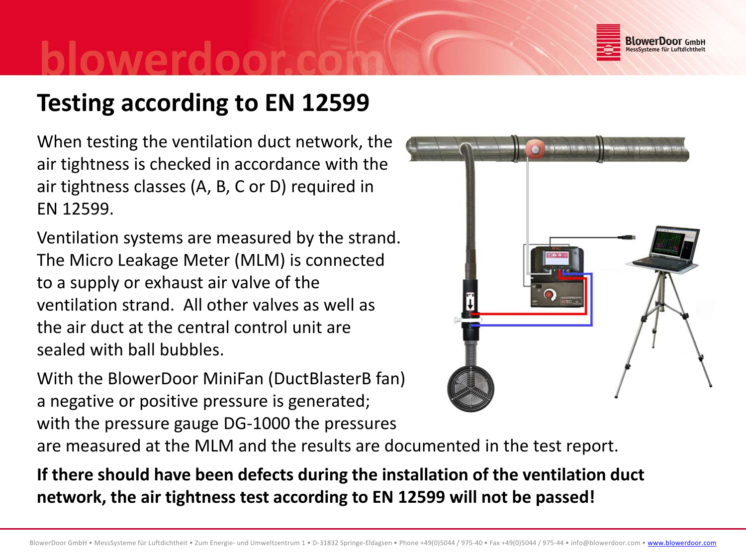![](_page_5_Picture_0.jpeg)

## **Testing according to EN 12599**

When testing the ventilation duct network, the air tightness is checked in accordance with the air tightness classes (A, B, C or D) required in EN 12599.

Ventilation systems are measured by the strand. The Micro Leakage Meter (MLM) is connected to <sup>a</sup> supply or exhaust air valve of the ventilation strand. All other valves as well as the air duct at the central control unit are sealed with ball bubbles.

With the BlowerDoor MiniFan (DuctBlasterB fan) a negative or positive pressure is generated; with the pressure gauge DG‐1000 the pressures

are measured at the MLM and the results are documented in the test report.

**If there should have been defects during the installation of the ventilation duct network, the air tightness test according to EN 12599 will not be passed!**

![](_page_5_Picture_8.jpeg)